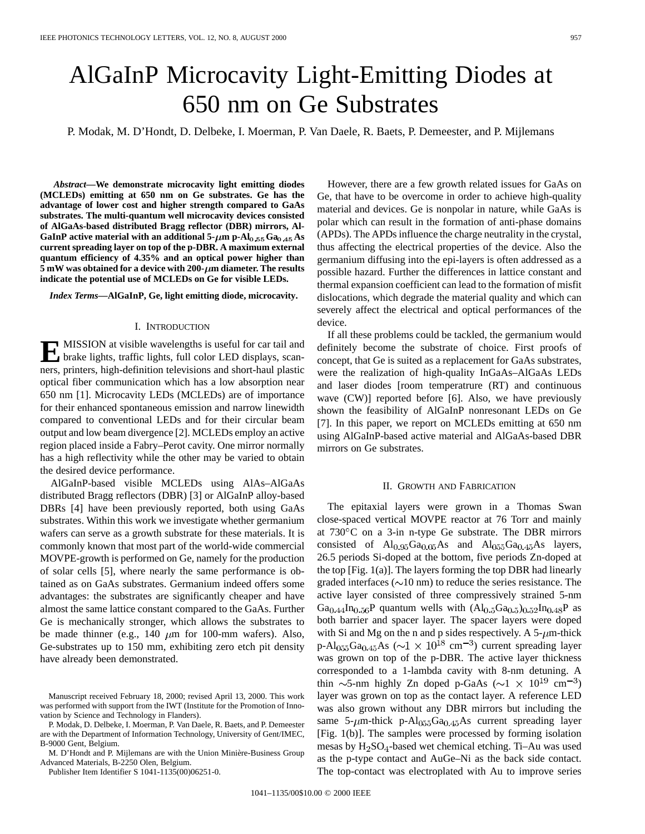# AlGaInP Microcavity Light-Emitting Diodes at 650 nm on Ge Substrates

P. Modak, M. D'Hondt, D. Delbeke, I. Moerman, P. Van Daele, R. Baets, P. Demeester, and P. Mijlemans

*Abstract—***We demonstrate microcavity light emitting diodes (MCLEDs) emitting at 650 nm on Ge substrates. Ge has the advantage of lower cost and higher strength compared to GaAs substrates. The multi-quantum well microcavity devices consisted of AlGaAs-based distributed Bragg reflector (DBR) mirrors, Al-**GaInP active material with an additional  $5-\mu m$  p-Al<sub>0</sub>,55Ga<sub>0,45</sub>As **current spreading layer on top of the p-DBR. A maximum external quantum efficiency of 4.35% and an optical power higher than 5 mW** was obtained for a device with 200- $\mu$ m diameter. The results **indicate the potential use of MCLEDs on Ge for visible LEDs.**

*Index Terms—***AlGaInP, Ge, light emitting diode, microcavity.**

#### I. INTRODUCTION

**E** MISSION at visible wavelengths is useful for car tail and<br>brake lights, traffic lights, full color LED displays, scan-<br>and printing high definition televisions and short have labeled ners, printers, high-definition televisions and short-haul plastic optical fiber communication which has a low absorption near 650 nm [1]. Microcavity LEDs (MCLEDs) are of importance for their enhanced spontaneous emission and narrow linewidth compared to conventional LEDs and for their circular beam output and low beam divergence [2]. MCLEDs employ an active region placed inside a Fabry–Perot cavity. One mirror normally has a high reflectivity while the other may be varied to obtain the desired device performance.

AlGaInP-based visible MCLEDs using AlAs–AlGaAs distributed Bragg reflectors (DBR) [3] or AlGaInP alloy-based DBRs [4] have been previously reported, both using GaAs substrates. Within this work we investigate whether germanium wafers can serve as a growth substrate for these materials. It is commonly known that most part of the world-wide commercial MOVPE-growth is performed on Ge, namely for the production of solar cells [5], where nearly the same performance is obtained as on GaAs substrates. Germanium indeed offers some advantages: the substrates are significantly cheaper and have almost the same lattice constant compared to the GaAs. Further Ge is mechanically stronger, which allows the substrates to be made thinner (e.g., 140  $\mu$ m for 100-mm wafers). Also, Ge-substrates up to 150 mm, exhibiting zero etch pit density have already been demonstrated.

P. Modak, D. Delbeke, I. Moerman, P. Van Daele, R. Baets, and P. Demeester are with the Department of Information Technology, University of Gent/IMEC, B-9000 Gent, Belgium.

M. D'Hondt and P. Mijlemans are with the Union Minière-Business Group Advanced Materials, B-2250 Olen, Belgium.

Publisher Item Identifier S 1041-1135(00)06251-0.

However, there are a few growth related issues for GaAs on Ge, that have to be overcome in order to achieve high-quality material and devices. Ge is nonpolar in nature, while GaAs is polar which can result in the formation of anti-phase domains (APDs). The APDs influence the charge neutrality in the crystal, thus affecting the electrical properties of the device. Also the germanium diffusing into the epi-layers is often addressed as a possible hazard. Further the differences in lattice constant and thermal expansion coefficient can lead to the formation of misfit dislocations, which degrade the material quality and which can severely affect the electrical and optical performances of the device.

If all these problems could be tackled, the germanium would definitely become the substrate of choice. First proofs of concept, that Ge is suited as a replacement for GaAs substrates, were the realization of high-quality InGaAs–AlGaAs LEDs and laser diodes [room temperatrure (RT) and continuous wave (CW)] reported before [6]. Also, we have previously shown the feasibility of AlGaInP nonresonant LEDs on Ge [7]. In this paper, we report on MCLEDs emitting at 650 nm using AlGaInP-based active material and AlGaAs-based DBR mirrors on Ge substrates.

## II. GROWTH AND FABRICATION

The epitaxial layers were grown in a Thomas Swan close-spaced vertical MOVPE reactor at 76 Torr and mainly at 730 C on a 3-in n-type Ge substrate. The DBR mirrors consisted of  $Al_{0.95}Ga_{0.05}As$  and  $Al_{0.95}Ga_{0.45}As$  layers, 26.5 periods Si-doped at the bottom, five periods Zn-doped at the top [Fig. 1(a)]. The layers forming the top DBR had linearly graded interfaces ( $\sim$ 10 nm) to reduce the series resistance. The active layer consisted of three compressively strained 5-nm  $Ga_{0.44}$ In<sub>0.56</sub>P quantum wells with  $(Al_{0.5}Ga_{0.5})_{0.52}$ In<sub>0.48</sub>P as both barrier and spacer layer. The spacer layers were doped with Si and Mg on the n and p sides respectively. A  $5-\mu m$ -thick p-Al<sub>055</sub>Ga<sub>0.45</sub>As ( $\sim$ 1 × 10<sup>18</sup> cm<sup>-3</sup>) current spreading layer was grown on top of the p-DBR. The active layer thickness corresponded to a 1-lambda cavity with 8-nm detuning. A thin  $\sim$ 5-nm highly Zn doped p-GaAs ( $\sim$ 1 × 10<sup>19</sup> cm<sup>-3</sup>) layer was grown on top as the contact layer. A reference LED was also grown without any DBR mirrors but including the same 5- $\mu$ m-thick p-Al<sub>055</sub>Ga<sub>0.45</sub>As current spreading layer [Fig. 1(b)]. The samples were processed by forming isolation mesas by  $H_2SO_4$ -based wet chemical etching. Ti–Au was used as the p-type contact and AuGe–Ni as the back side contact. The top-contact was electroplated with Au to improve series

Manuscript received February 18, 2000; revised April 13, 2000. This work was performed with support from the IWT (Institute for the Promotion of Innovation by Science and Technology in Flanders).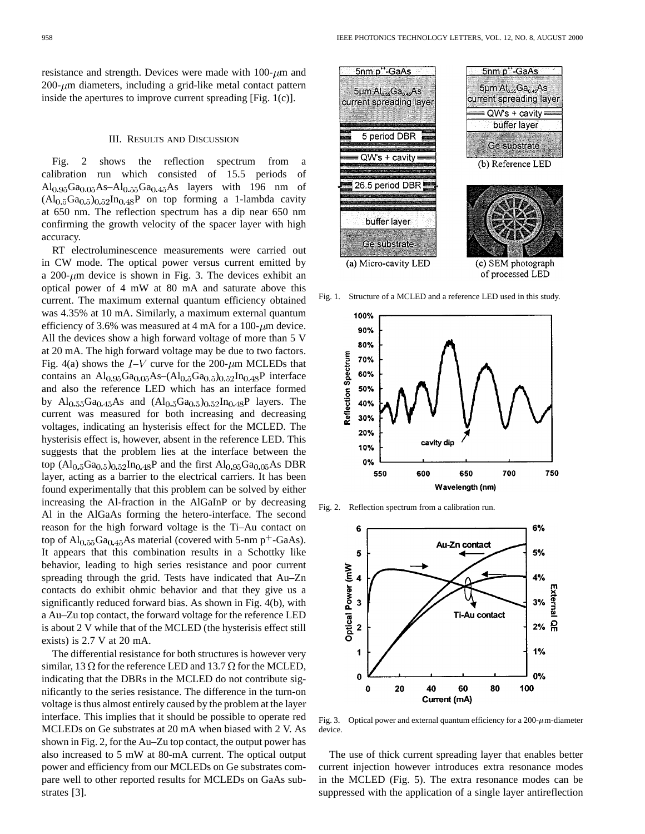resistance and strength. Devices were made with  $100$ - $\mu$ m and  $200$ - $\mu$ m diameters, including a grid-like metal contact pattern inside the apertures to improve current spreading [Fig. 1(c)].

## III. RESULTS AND DISCUSSION

Fig. 2 shows the reflection spectrum from a calibration run which consisted of 15.5 periods of  $\text{Al}_{0.95}\text{Ga}_{0.05}\text{As}-\text{Al}_{0.55}\text{Ga}_{0.45}\text{As}$  layers with 196 nm of  $(Al<sub>0.5</sub>Ga<sub>0.5</sub>)<sub>0.52</sub>In<sub>0.48</sub>P$  on top forming a 1-lambda cavity at 650 nm. The reflection spectrum has a dip near 650 nm confirming the growth velocity of the spacer layer with high accuracy.

RT electroluminescence measurements were carried out in CW mode. The optical power versus current emitted by a 200- $\mu$ m device is shown in Fig. 3. The devices exhibit an optical power of 4 mW at 80 mA and saturate above this current. The maximum external quantum efficiency obtained was 4.35% at 10 mA. Similarly, a maximum external quantum efficiency of 3.6% was measured at 4 mA for a 100- $\mu$ m device. All the devices show a high forward voltage of more than 5 V at 20 mA. The high forward voltage may be due to two factors. Fig. 4(a) shows the  $I-V$  curve for the 200- $\mu$ m MCLEDs that contains an  $Al_{0.95}Ga_{0.05}As-(Al_{0.5}Ga_{0.5})_{0.52}In_{0.48}P$  interface and also the reference LED which has an interface formed by Al<sub>0.55</sub>Ga<sub>0.45</sub>As and  $(Al_{0.5}Ga_{0.5})_{0.52}In_{0.48}P$  layers. The current was measured for both increasing and decreasing voltages, indicating an hysterisis effect for the MCLED. The hysterisis effect is, however, absent in the reference LED. This suggests that the problem lies at the interface between the top  $(Al_{0.5}Ga_{0.5})_{0.52}In_{0.48}P$  and the first  $Al_{0.95}Ga_{0.05}As DBR$ layer, acting as a barrier to the electrical carriers. It has been found experimentally that this problem can be solved by either increasing the Al-fraction in the AlGaInP or by decreasing Al in the AlGaAs forming the hetero-interface. The second reason for the high forward voltage is the Ti–Au contact on top of  $Al_{0.55}Ga_{0.45}As$  material (covered with 5-nm p<sup>+</sup>-GaAs). It appears that this combination results in a Schottky like behavior, leading to high series resistance and poor current spreading through the grid. Tests have indicated that Au–Zn contacts do exhibit ohmic behavior and that they give us a significantly reduced forward bias. As shown in Fig. 4(b), with a Au–Zu top contact, the forward voltage for the reference LED is about 2 V while that of the MCLED (the hysterisis effect still exists) is 2.7 V at 20 mA.

The differential resistance for both structures is however very similar, 13  $\Omega$  for the reference LED and 13.7  $\Omega$  for the MCLED, indicating that the DBRs in the MCLED do not contribute significantly to the series resistance. The difference in the turn-on voltage is thus almost entirely caused by the problem at the layer interface. This implies that it should be possible to operate red MCLEDs on Ge substrates at 20 mA when biased with 2 V. As shown in Fig. 2, for the Au–Zu top contact, the output power has also increased to 5 mW at 80-mA current. The optical output power and efficiency from our MCLEDs on Ge substrates compare well to other reported results for MCLEDs on GaAs substrates [3].



(c) SEM photograph of processed LED

Fig. 1. Structure of a MCLED and a reference LED used in this study.



Fig. 2. Reflection spectrum from a calibration run.



Fig. 3. Optical power and external quantum efficiency for a  $200-\mu$ m-diameter device.

The use of thick current spreading layer that enables better current injection however introduces extra resonance modes in the MCLED (Fig. 5). The extra resonance modes can be suppressed with the application of a single layer antireflection